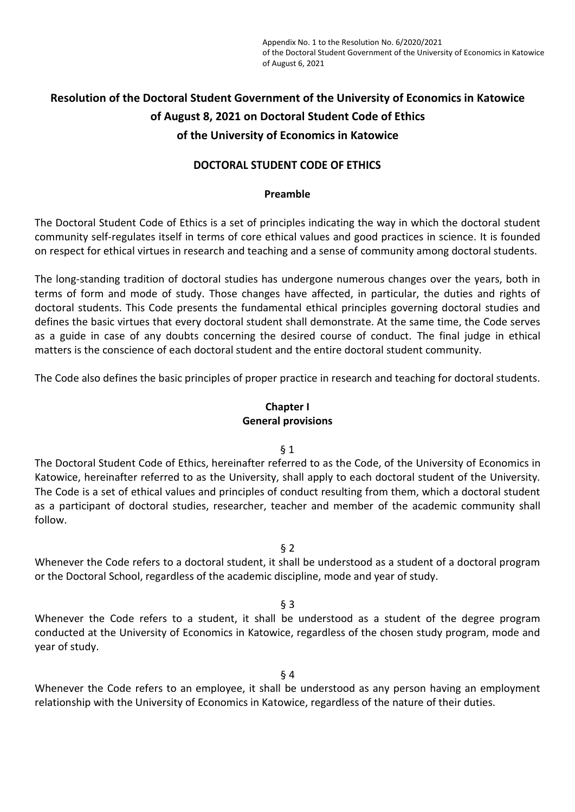# **Resolution of the Doctoral Student Government of the University of Economics in Katowice of August 8, 2021 on Doctoral Student Code of Ethics of the University of Economics in Katowice**

# **DOCTORAL STUDENT CODE OF ETHICS**

### **Preamble**

The Doctoral Student Code of Ethics is a set of principles indicating the way in which the doctoral student community self-regulates itself in terms of core ethical values and good practices in science. It is founded on respect for ethical virtues in research and teaching and a sense of community among doctoral students.

The long-standing tradition of doctoral studies has undergone numerous changes over the years, both in terms of form and mode of study. Those changes have affected, in particular, the duties and rights of doctoral students. This Code presents the fundamental ethical principles governing doctoral studies and defines the basic virtues that every doctoral student shall demonstrate. At the same time, the Code serves as a guide in case of any doubts concerning the desired course of conduct. The final judge in ethical matters is the conscience of each doctoral student and the entire doctoral student community.

The Code also defines the basic principles of proper practice in research and teaching for doctoral students.

# **Chapter I General provisions**

#### $§$  1

The Doctoral Student Code of Ethics, hereinafter referred to as the Code, of the University of Economics in Katowice, hereinafter referred to as the University, shall apply to each doctoral student of the University. The Code is a set of ethical values and principles of conduct resulting from them, which a doctoral student as a participant of doctoral studies, researcher, teacher and member of the academic community shall follow.

§ 2

Whenever the Code refers to a doctoral student, it shall be understood as a student of a doctoral program or the Doctoral School, regardless of the academic discipline, mode and year of study.

§ 3

Whenever the Code refers to a student, it shall be understood as a student of the degree program conducted at the University of Economics in Katowice, regardless of the chosen study program, mode and year of study.

§ 4

Whenever the Code refers to an employee, it shall be understood as any person having an employment relationship with the University of Economics in Katowice, regardless of the nature of their duties.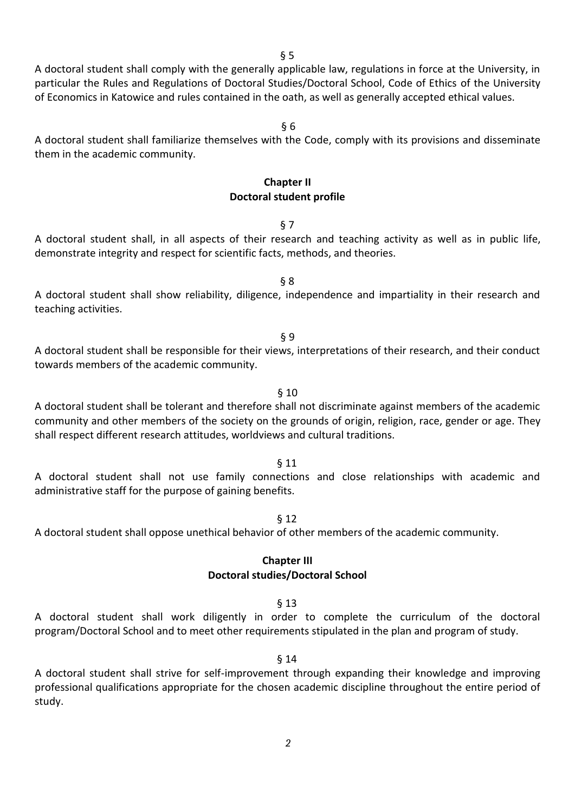A doctoral student shall comply with the generally applicable law, regulations in force at the University, in particular the Rules and Regulations of Doctoral Studies/Doctoral School, Code of Ethics of the University of Economics in Katowice and rules contained in the oath, as well as generally accepted ethical values.

§ 6

A doctoral student shall familiarize themselves with the Code, comply with its provisions and disseminate them in the academic community.

#### **Chapter II Doctoral student profile**

#### § 7

A doctoral student shall, in all aspects of their research and teaching activity as well as in public life, demonstrate integrity and respect for scientific facts, methods, and theories.

A doctoral student shall show reliability, diligence, independence and impartiality in their research and teaching activities.

§ 8

§ 9

A doctoral student shall be responsible for their views, interpretations of their research, and their conduct towards members of the academic community.

§ 10

A doctoral student shall be tolerant and therefore shall not discriminate against members of the academic community and other members of the society on the grounds of origin, religion, race, gender or age. They shall respect different research attitudes, worldviews and cultural traditions.

#### § 11

A doctoral student shall not use family connections and close relationships with academic and administrative staff for the purpose of gaining benefits.

§ 12

A doctoral student shall oppose unethical behavior of other members of the academic community.

#### **Chapter III Doctoral studies/Doctoral School**

#### § 13

A doctoral student shall work diligently in order to complete the curriculum of the doctoral program/Doctoral School and to meet other requirements stipulated in the plan and program of study.

#### § 14

A doctoral student shall strive for self-improvement through expanding their knowledge and improving professional qualifications appropriate for the chosen academic discipline throughout the entire period of study.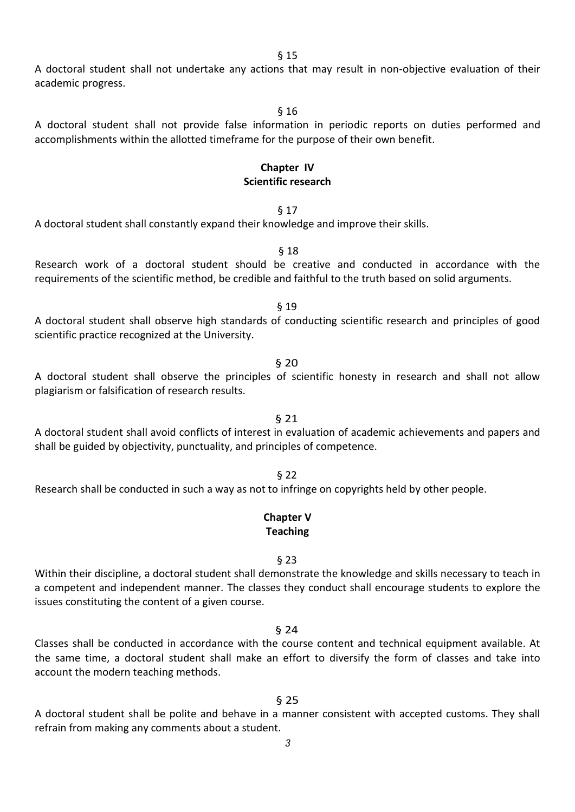A doctoral student shall not undertake any actions that may result in non-objective evaluation of their academic progress.

§ 16

A doctoral student shall not provide false information in periodic reports on duties performed and accomplishments within the allotted timeframe for the purpose of their own benefit.

#### **Chapter IV Scientific research**

# § 17

A doctoral student shall constantly expand their knowledge and improve their skills.

Research work of a doctoral student should be creative and conducted in accordance with the requirements of the scientific method, be credible and faithful to the truth based on solid arguments.

§ 18

§ 19 A doctoral student shall observe high standards of conducting scientific research and principles of good scientific practice recognized at the University.

A doctoral student shall observe the principles of scientific honesty in research and shall not allow plagiarism or falsification of research results.

§ 20

A doctoral student shall avoid conflicts of interest in evaluation of academic achievements and papers and shall be guided by objectivity, punctuality, and principles of competence.

Research shall be conducted in such a way as not to infringe on copyrights held by other people.

#### **Chapter V Teaching**

#### § 23

Within their discipline, a doctoral student shall demonstrate the knowledge and skills necessary to teach in a competent and independent manner. The classes they conduct shall encourage students to explore the issues constituting the content of a given course.

§ 24

Classes shall be conducted in accordance with the course content and technical equipment available. At the same time, a doctoral student shall make an effort to diversify the form of classes and take into account the modern teaching methods.

A doctoral student shall be polite and behave in a manner consistent with accepted customs. They shall refrain from making any comments about a student.

§ 25

# § 21

# § 22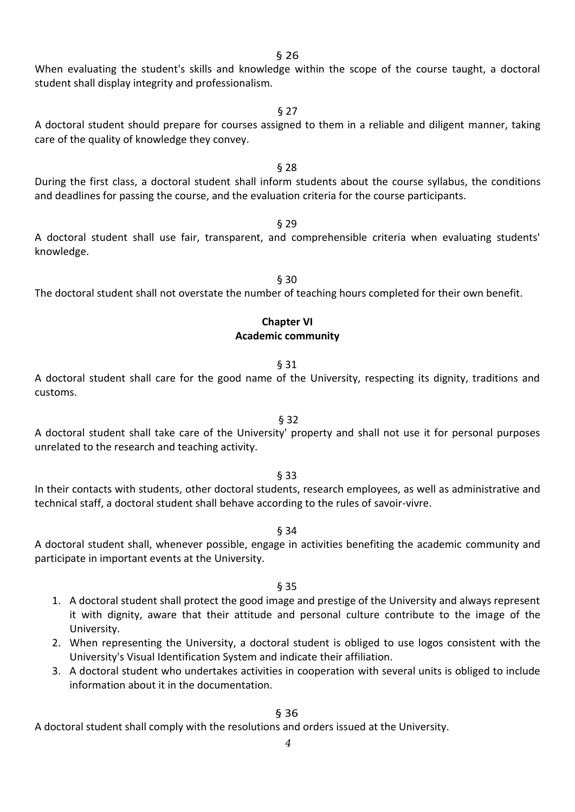When evaluating the student's skills and knowledge within the scope of the course taught, a doctoral student shall display integrity and professionalism.

§ 27

A doctoral student should prepare for courses assigned to them in a reliable and diligent manner, taking care of the quality of knowledge they convey.

During the first class, a doctoral student shall inform students about the course syllabus, the conditions and deadlines for passing the course, and the evaluation criteria for the course participants.

§ 28

A doctoral student shall use fair, transparent, and comprehensible criteria when evaluating students' knowledge.

The doctoral student shall not overstate the number of teaching hours completed for their own benefit.

# **Chapter VI Academic community**

#### § 31

A doctoral student shall care for the good name of the University, respecting its dignity, traditions and customs.

A doctoral student shall take care of the University' property and shall not use it for personal purposes unrelated to the research and teaching activity.

§ 32

§ 33

In their contacts with students, other doctoral students, research employees, as well as administrative and technical staff, a doctoral student shall behave according to the rules of savoir-vivre.

§ 34

A doctoral student shall, whenever possible, engage in activities benefiting the academic community and participate in important events at the University.

- § 35
- 1. A doctoral student shall protect the good image and prestige of the University and always represent it with dignity, aware that their attitude and personal culture contribute to the image of the University.
- 2. When representing the University, a doctoral student is obliged to use logos consistent with the University's Visual Identification System and indicate their affiliation.
- 3. A doctoral student who undertakes activities in cooperation with several units is obliged to include information about it in the documentation.

§ 36

A doctoral student shall comply with the resolutions and orders issued at the University.

# § 29

§ 30